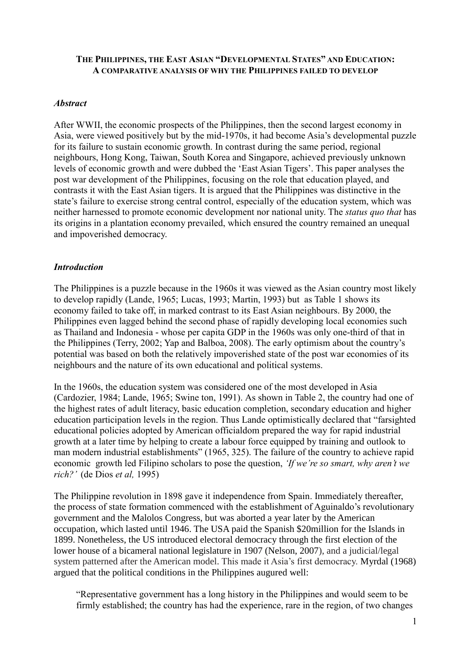#### **THE PHILIPPINES, THE EAST ASIAN "DEVELOPMENTAL STATES" AND EDUCATION: A COMPARATIVE ANALYSIS OF WHY THE PHILIPPINES FAILED TO DEVELOP**

#### *Abstract*

After WWII, the economic prospects of the Philippines, then the second largest economy in Asia, were viewed positively but by the mid-1970s, it had become Asia's developmental puzzle for its failure to sustain economic growth. In contrast during the same period, regional neighbours, Hong Kong, Taiwan, South Korea and Singapore, achieved previously unknown levels of economic growth and were dubbed the 'East Asian Tigers'. This paper analyses the post war development of the Philippines, focusing on the role that education played, and contrasts it with the East Asian tigers. It is argued that the Philippines was distinctive in the state's failure to exercise strong central control, especially of the education system, which was neither harnessed to promote economic development nor national unity. The *status quo that* has its origins in a plantation economy prevailed, which ensured the country remained an unequal and impoverished democracy.

#### *Introduction*

The Philippines is a puzzle because in the 1960s it was viewed as the Asian country most likely to develop rapidly (Lande, 1965; Lucas, 1993; Martin, 1993) but as Table 1 shows its economy failed to take off, in marked contrast to its East Asian neighbours. By 2000, the Philippines even lagged behind the second phase of rapidly developing local economies such as Thailand and Indonesia - whose per capita GDP in the 1960s was only one-third of that in the Philippines (Terry, 2002; Yap and Balboa, 2008). The early optimism about the country's potential was based on both the relatively impoverished state of the post war economies of its neighbours and the nature of its own educational and political systems.

In the 1960s, the education system was considered one of the most developed in Asia (Cardozier, 1984; Lande, 1965; Swine ton, 1991). As shown in Table 2, the country had one of the highest rates of adult literacy, basic education completion, secondary education and higher education participation levels in the region. Thus Lande optimistically declared that "farsighted educational policies adopted by American officialdom prepared the way for rapid industrial growth at a later time by helping to create a labour force equipped by training and outlook to man modern industrial establishments" (1965, 325). The failure of the country to achieve rapid economic growth led Filipino scholars to pose the question, *'If we're so smart, why aren't we rich?'* (de Dios *et al,* 1995)

The Philippine revolution in 1898 gave it independence from Spain. Immediately thereafter, the process of state formation commenced with the establishment of Aguinaldo's revolutionary government and the Malolos Congress, but was aborted a year later by the American occupation, which lasted until 1946. The USA paid the Spanish \$20million for the Islands in 1899. Nonetheless, the US introduced electoral democracy through the first election of the lower house of a bicameral national legislature in 1907 (Nelson, 2007), and a judicial/legal system patterned after the American model. This made it Asia's first democracy. Myrdal (1968) argued that the political conditions in the Philippines augured well:

"Representative government has a long history in the Philippines and would seem to be firmly established; the country has had the experience, rare in the region, of two changes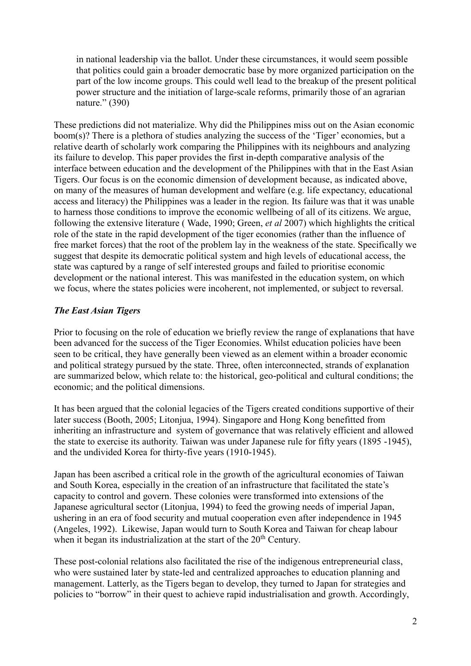in national leadership via the ballot. Under these circumstances, it would seem possible that politics could gain a broader democratic base by more organized participation on the part of the low income groups. This could well lead to the breakup of the present political power structure and the initiation of large-scale reforms, primarily those of an agrarian nature." (390)

These predictions did not materialize. Why did the Philippines miss out on the Asian economic boom(s)? There is a plethora of studies analyzing the success of the 'Tiger' economies, but a relative dearth of scholarly work comparing the Philippines with its neighbours and analyzing its failure to develop. This paper provides the first in-depth comparative analysis of the interface between education and the development of the Philippines with that in the East Asian Tigers. Our focus is on the economic dimension of development because, as indicated above, on many of the measures of human development and welfare (e.g. life expectancy, educational access and literacy) the Philippines was a leader in the region. Its failure was that it was unable to harness those conditions to improve the economic wellbeing of all of its citizens. We argue, following the extensive literature ( Wade, 1990; Green, *et al* 2007) which highlights the critical role of the state in the rapid development of the tiger economies (rather than the influence of free market forces) that the root of the problem lay in the weakness of the state. Specifically we suggest that despite its democratic political system and high levels of educational access, the state was captured by a range of self interested groups and failed to prioritise economic development or the national interest. This was manifested in the education system, on which we focus, where the states policies were incoherent, not implemented, or subject to reversal.

## *The East Asian Tigers*

Prior to focusing on the role of education we briefly review the range of explanations that have been advanced for the success of the Tiger Economies. Whilst education policies have been seen to be critical, they have generally been viewed as an element within a broader economic and political strategy pursued by the state. Three, often interconnected, strands of explanation are summarized below, which relate to: the historical, geo-political and cultural conditions; the economic; and the political dimensions.

It has been argued that the colonial legacies of the Tigers created conditions supportive of their later success (Booth, 2005; Litonjua, 1994). Singapore and Hong Kong benefitted from inheriting an infrastructure and system of governance that was relatively efficient and allowed the state to exercise its authority. Taiwan was under Japanese rule for fifty years (1895 -1945), and the undivided Korea for thirty-five years (1910-1945).

Japan has been ascribed a critical role in the growth of the agricultural economies of Taiwan and South Korea, especially in the creation of an infrastructure that facilitated the state's capacity to control and govern. These colonies were transformed into extensions of the Japanese agricultural sector (Litonjua, 1994) to feed the growing needs of imperial Japan, ushering in an era of food security and mutual cooperation even after independence in 1945 (Angeles, 1992). Likewise, Japan would turn to South Korea and Taiwan for cheap labour when it began its industrialization at the start of the 20<sup>th</sup> Century.

These post-colonial relations also facilitated the rise of the indigenous entrepreneurial class, who were sustained later by state-led and centralized approaches to education planning and management. Latterly, as the Tigers began to develop, they turned to Japan for strategies and policies to "borrow" in their quest to achieve rapid industrialisation and growth. Accordingly,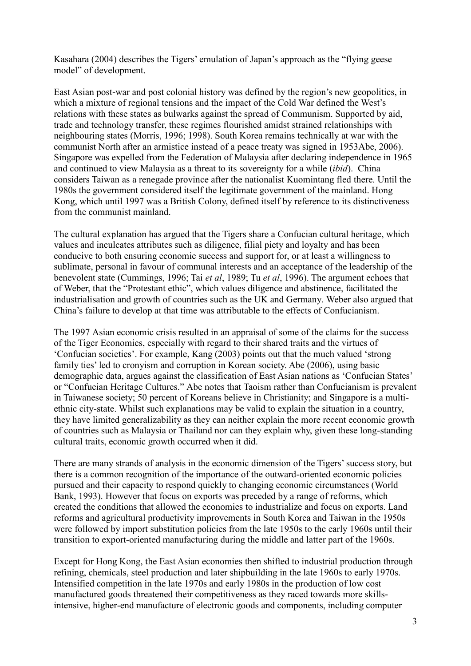Kasahara (2004) describes the Tigers' emulation of Japan's approach as the "flying geese model" of development.

East Asian post-war and post colonial history was defined by the region's new geopolitics, in which a mixture of regional tensions and the impact of the Cold War defined the West's relations with these states as bulwarks against the spread of Communism. Supported by aid, trade and technology transfer, these regimes flourished amidst strained relationships with neighbouring states (Morris, 1996; 1998). South Korea remains technically at war with the communist North after an armistice instead of a peace treaty was signed in 1953Abe, 2006). Singapore was expelled from the Federation of Malaysia after declaring independence in 1965 and continued to view Malaysia as a threat to its sovereignty for a while (*ibid*). China considers Taiwan as a renegade province after the nationalist Kuomintang fled there. Until the 1980s the government considered itself the legitimate government of the mainland. Hong Kong, which until 1997 was a British Colony, defined itself by reference to its distinctiveness from the communist mainland.

The cultural explanation has argued that the Tigers share a Confucian cultural heritage, which values and inculcates attributes such as diligence, filial piety and loyalty and has been conducive to both ensuring economic success and support for, or at least a willingness to sublimate, personal in favour of communal interests and an acceptance of the leadership of the benevolent state (Cummings, 1996; Tai *et al*, 1989; Tu *et al*, 1996). The argument echoes that of Weber, that the "Protestant ethic", which values diligence and abstinence, facilitated the industrialisation and growth of countries such as the UK and Germany. Weber also argued that China's failure to develop at that time was attributable to the effects of Confucianism.

The 1997 Asian economic crisis resulted in an appraisal of some of the claims for the success of the Tiger Economies, especially with regard to their shared traits and the virtues of 'Confucian societies'. For example, Kang (2003) points out that the much valued 'strong family ties' led to cronyism and corruption in Korean society. Abe (2006), using basic demographic data, argues against the classification of East Asian nations as 'Confucian States' or "Confucian Heritage Cultures." Abe notes that Taoism rather than Confucianism is prevalent in Taiwanese society; 50 percent of Koreans believe in Christianity; and Singapore is a multiethnic city-state. Whilst such explanations may be valid to explain the situation in a country, they have limited generalizability as they can neither explain the more recent economic growth of countries such as Malaysia or Thailand nor can they explain why, given these long-standing cultural traits, economic growth occurred when it did.

There are many strands of analysis in the economic dimension of the Tigers'success story, but there is a common recognition of the importance of the outward-oriented economic policies pursued and their capacity to respond quickly to changing economic circumstances (World Bank, 1993). However that focus on exports was preceded by a range of reforms, which created the conditions that allowed the economies to industrialize and focus on exports. Land reforms and agricultural productivity improvements in South Korea and Taiwan in the 1950s were followed by import substitution policies from the late 1950s to the early 1960s until their transition to export-oriented manufacturing during the middle and latter part of the 1960s.

Except for Hong Kong, the East Asian economies then shifted to industrial production through refining, chemicals, steel production and later shipbuilding in the late 1960s to early 1970s. Intensified competition in the late 1970s and early 1980s in the production of low cost manufactured goods threatened their competitiveness as they raced towards more skillsintensive, higher-end manufacture of electronic goods and components, including computer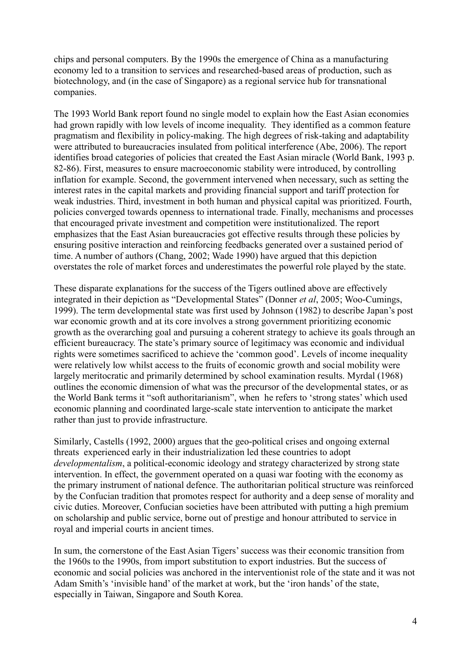chips and personal computers. By the 1990s the emergence of China as a manufacturing economy led to a transition to services and researched-based areas of production, such as biotechnology, and (in the case of Singapore) as a regional service hub for transnational companies.

The 1993 World Bank report found no single model to explain how the East Asian economies had grown rapidly with low levels of income inequality. They identified as a common feature pragmatism and flexibility in policy-making. The high degrees of risk-taking and adaptability were attributed to bureaucracies insulated from political interference (Abe, 2006). The report identifies broad categories of policies that created the East Asian miracle (World Bank, 1993 p. 82-86). First, measures to ensure macroeconomic stability were introduced, by controlling inflation for example. Second, the government intervened when necessary, such as setting the interest rates in the capital markets and providing financial support and tariff protection for weak industries. Third, investment in both human and physical capital was prioritized. Fourth, policies converged towards openness to international trade. Finally, mechanisms and processes that encouraged private investment and competition were institutionalized. The report emphasizes that the East Asian bureaucracies got effective results through these policies by ensuring positive interaction and reinforcing feedbacks generated over a sustained period of time. A number of authors (Chang, 2002; Wade 1990) have argued that this depiction overstates the role of market forces and underestimates the powerful role played by the state.

These disparate explanations for the success of the Tigers outlined above are effectively integrated in their depiction as "Developmental States" (Donner *et al*, 2005; Woo-Cumings, 1999). The term developmental state was first used by Johnson (1982) to describe Japan's post war economic growth and at its core involves a strong government prioritizing economic growth as the overarching goal and pursuing a coherent strategy to achieve its goals through an efficient bureaucracy. The state's primary source of legitimacy was economic and individual rights were sometimes sacrificed to achieve the 'common good'. Levels of income inequality were relatively low whilst access to the fruits of economic growth and social mobility were largely meritocratic and primarily determined by school examination results. Myrdal (1968) outlines the economic dimension of what was the precursor of the developmental states, or as the World Bank terms it "soft authoritarianism", when he refers to 'strong states' which used economic planning and coordinated large-scale state intervention to anticipate the market rather than just to provide infrastructure.

Similarly, Castells (1992, 2000) argues that the geo-political crises and ongoing external threats experienced early in their industrialization led these countries to adopt *developmentalism*, a political-economic ideology and strategy characterized by strong state intervention. In effect, the government operated on a quasi war footing with the economy as the primary instrument of national defence. The authoritarian political structure was reinforced by the Confucian tradition that promotes respect for authority and a deep sense of morality and civic duties. Moreover, Confucian societies have been attributed with putting a high premium on scholarship and public service, borne out of prestige and honour attributed to service in royal and imperial courts in ancient times.

In sum, the cornerstone of the East Asian Tigers' success was their economic transition from the 1960s to the 1990s, from import substitution to export industries. But the success of economic and social policies was anchored in the interventionist role of the state and it was not Adam Smith's 'invisible hand' of the market at work, but the 'iron hands' of the state, especially in Taiwan, Singapore and South Korea.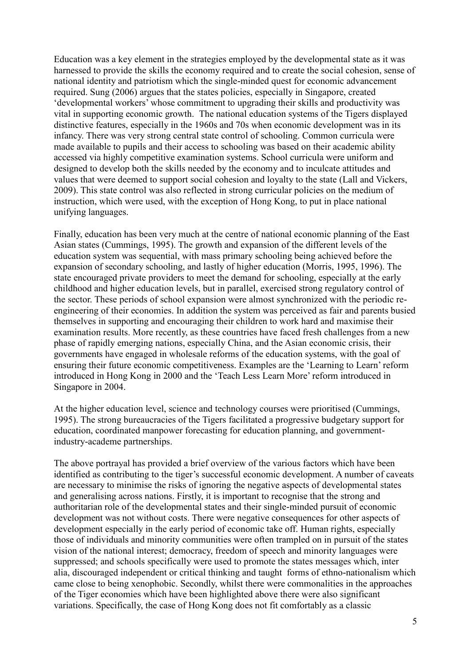Education was a key element in the strategies employed by the developmental state as it was harnessed to provide the skills the economy required and to create the social cohesion, sense of national identity and patriotism which the single-minded quest for economic advancement required. Sung (2006) argues that the states policies, especially in Singapore, created 'developmental workers' whose commitment to upgrading their skills and productivity was vital in supporting economic growth. The national education systems of the Tigers displayed distinctive features, especially in the 1960s and 70s when economic development was in its infancy. There was very strong central state control of schooling. Common curricula were made available to pupils and their access to schooling was based on their academic ability accessed via highly competitive examination systems. School curricula were uniform and designed to develop both the skills needed by the economy and to inculcate attitudes and values that were deemed to support social cohesion and loyalty to the state (Lall and Vickers, 2009). This state control was also reflected in strong curricular policies on the medium of instruction, which were used, with the exception of Hong Kong, to put in place national unifying languages.

Finally, education has been very much at the centre of national economic planning of the East Asian states (Cummings, 1995). The growth and expansion of the different levels of the education system was sequential, with mass primary schooling being achieved before the expansion of secondary schooling, and lastly of higher education (Morris, 1995, 1996). The state encouraged private providers to meet the demand for schooling, especially at the early childhood and higher education levels, but in parallel, exercised strong regulatory control of the sector. These periods of school expansion were almost synchronized with the periodic reengineering of their economies. In addition the system was perceived as fair and parents busied themselves in supporting and encouraging their children to work hard and maximise their examination results. More recently, as these countries have faced fresh challenges from a new phase of rapidly emerging nations, especially China, and the Asian economic crisis, their governments have engaged in wholesale reforms of the education systems, with the goal of ensuring their future economic competitiveness. Examples are the 'Learning to Learn' reform introduced in Hong Kong in 2000 and the 'Teach Less Learn More' reform introduced in Singapore in 2004.

At the higher education level, science and technology courses were prioritised (Cummings, 1995). The strong bureaucracies of the Tigers facilitated a progressive budgetary support for education, coordinated manpower forecasting for education planning, and governmentindustry-academe partnerships.

The above portrayal has provided a brief overview of the various factors which have been identified as contributing to the tiger's successful economic development. A number of caveats are necessary to minimise the risks of ignoring the negative aspects of developmental states and generalising across nations. Firstly, it is important to recognise that the strong and authoritarian role of the developmental states and their single-minded pursuit of economic development was not without costs. There were negative consequences for other aspects of development especially in the early period of economic take off. Human rights, especially those of individuals and minority communities were often trampled on in pursuit of the states vision of the national interest; democracy, freedom of speech and minority languages were suppressed; and schools specifically were used to promote the states messages which, inter alia, discouraged independent or critical thinking and taught forms of ethno-nationalism which came close to being xenophobic. Secondly, whilst there were commonalities in the approaches of the Tiger economies which have been highlighted above there were also significant variations. Specifically, the case of Hong Kong does not fit comfortably as a classic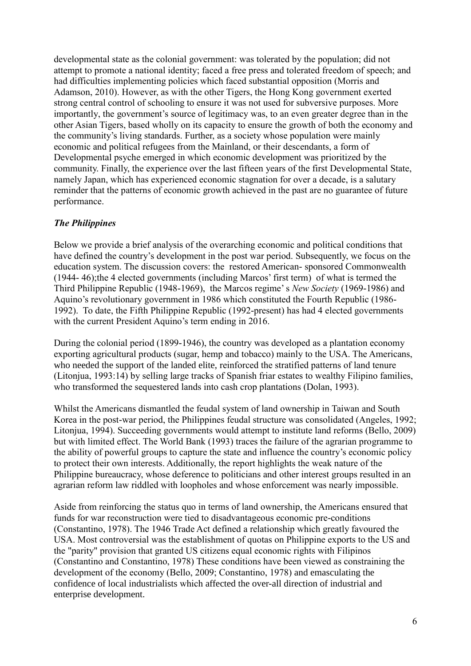developmental state as the colonial government: was tolerated by the population; did not attempt to promote a national identity; faced a free press and tolerated freedom of speech; and had difficulties implementing policies which faced substantial opposition (Morris and Adamson, 2010). However, as with the other Tigers, the Hong Kong government exerted strong central control of schooling to ensure it was not used for subversive purposes. More importantly, the government's source of legitimacy was, to an even greater degree than in the other Asian Tigers, based wholly on its capacity to ensure the growth of both the economy and the community's living standards. Further, as a society whose population were mainly economic and political refugees from the Mainland, or their descendants, a form of Developmental psyche emerged in which economic development was prioritized by the community. Finally, the experience over the last fifteen years of the first Developmental State, namely Japan, which has experienced economic stagnation for over a decade, is a salutary reminder that the patterns of economic growth achieved in the past are no guarantee of future performance.

## *The Philippines*

Below we provide a brief analysis of the overarching economic and political conditions that have defined the country's development in the post war period. Subsequently, we focus on the education system. The discussion covers: the restored American- sponsored Commonwealth (1944- 46);the 4 elected governments (including Marcos' first term) of what is termed the Third Philippine Republic (1948-1969), the Marcos regime' s *New Society* (1969-1986) and Aquino's revolutionary government in 1986 which constituted the Fourth Republic (1986- 1992). To date, the Fifth Philippine Republic (1992-present) has had 4 elected governments with the current President Aquino's term ending in 2016.

During the colonial period (1899-1946), the country was developed as a plantation economy exporting agricultural products (sugar, hemp and tobacco) mainly to the USA. The Americans, who needed the support of the landed elite, reinforced the stratified patterns of land tenure (Litonjua, 1993:14) by selling large tracks of Spanish friar estates to wealthy Filipino families, who transformed the sequestered lands into cash crop plantations (Dolan, 1993).

Whilst the Americans dismantled the feudal system of land ownership in Taiwan and South Korea in the post-war period, the Philippines feudal structure was consolidated (Angeles, 1992; Litonjua, 1994). Succeeding governments would attempt to institute land reforms (Bello, 2009) but with limited effect. The World Bank (1993) traces the failure of the agrarian programme to the ability of powerful groups to capture the state and influence the country's economic policy to protect their own interests. Additionally, the report highlights the weak nature of the Philippine bureaucracy, whose deference to politicians and other interest groups resulted in an agrarian reform law riddled with loopholes and whose enforcement was nearly impossible.

Aside from reinforcing the status quo in terms of land ownership, the Americans ensured that funds for war reconstruction were tied to disadvantageous economic pre-conditions (Constantino, 1978). The 1946 Trade Act defined a relationship which greatly favoured the USA. Most controversial was the establishment of quotas on Philippine exports to the US and the "parity" provision that granted US citizens equal economic rights with Filipinos (Constantino and Constantino, 1978) These conditions have been viewed as constraining the development of the economy (Bello, 2009; Constantino, 1978) and emasculating the confidence of local industrialists which affected the over-all direction of industrial and enterprise development.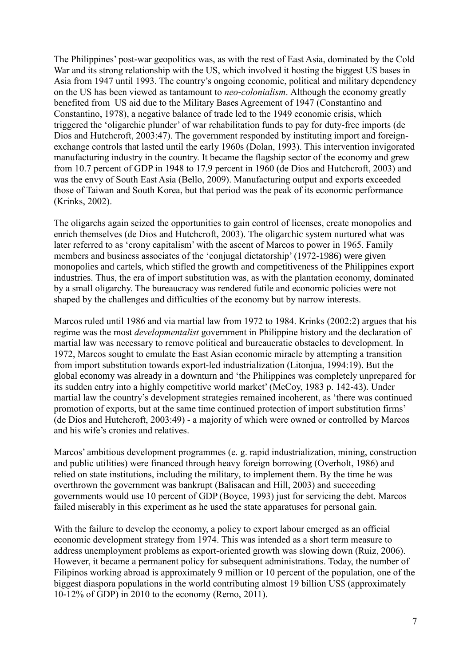The Philippines' post-war geopolitics was, as with the rest of East Asia, dominated by the Cold War and its strong relationship with the US, which involved it hosting the biggest US bases in Asia from 1947 until 1993. The country's ongoing economic, political and military dependency on the US has been viewed as tantamount to *neo-colonialism*. Although the economy greatly benefited from US aid due to the Military Bases Agreement of 1947 (Constantino and Constantino, 1978), a negative balance of trade led to the 1949 economic crisis, which triggered the 'oligarchic plunder' of war rehabilitation funds to pay for duty-free imports (de Dios and Hutchcroft, 2003:47). The government responded by instituting import and foreignexchange controls that lasted until the early 1960s (Dolan, 1993). This intervention invigorated manufacturing industry in the country. It became the flagship sector of the economy and grew from 10.7 percent of GDP in 1948 to 17.9 percent in 1960 (de Dios and Hutchcroft, 2003) and was the envy of South East Asia (Bello, 2009). Manufacturing output and exports exceeded those of Taiwan and South Korea, but that period was the peak of its economic performance (Krinks, 2002).

The oligarchs again seized the opportunities to gain control of licenses, create monopolies and enrich themselves (de Dios and Hutchcroft, 2003). The oligarchic system nurtured what was later referred to as 'crony capitalism' with the ascent of Marcos to power in 1965. Family members and business associates of the 'conjugal dictatorship' (1972-1986) were given monopolies and cartels, which stifled the growth and competitiveness of the Philippines export industries. Thus, the era of import substitution was, as with the plantation economy, dominated by a small oligarchy. The bureaucracy was rendered futile and economic policies were not shaped by the challenges and difficulties of the economy but by narrow interests.

Marcos ruled until 1986 and via martial law from 1972 to 1984. Krinks (2002:2) argues that his regime was the most *developmentalist* government in Philippine history and the declaration of martial law was necessary to remove political and bureaucratic obstacles to development. In 1972, Marcos sought to emulate the East Asian economic miracle by attempting a transition from import substitution towards export-led industrialization (Litonjua, 1994:19). But the global economy was already in a downturn and 'the Philippines was completely unprepared for its sudden entry into a highly competitive world market' (McCoy, 1983 p. 142-43). Under martial law the country's development strategies remained incoherent, as 'there was continued promotion of exports, but at the same time continued protection of import substitution firms' (de Dios and Hutchcroft, 2003:49) - a majority of which were owned or controlled by Marcos and his wife's cronies and relatives.

Marcos' ambitious development programmes (e. g. rapid industrialization, mining, construction and public utilities) were financed through heavy foreign borrowing (Overholt, 1986) and relied on state institutions, including the military, to implement them. By the time he was overthrown the government was bankrupt (Balisacan and Hill, 2003) and succeeding governments would use 10 percent of GDP (Boyce, 1993) just for servicing the debt. Marcos failed miserably in this experiment as he used the state apparatuses for personal gain.

With the failure to develop the economy, a policy to export labour emerged as an official economic development strategy from 1974. This was intended as a short term measure to address unemployment problems as export-oriented growth was slowing down (Ruiz, 2006). However, it became a permanent policy for subsequent administrations. Today, the number of Filipinos working abroad is approximately 9 million or 10 percent of the population, one of the biggest diaspora populations in the world contributing almost 19 billion US\$ (approximately 10-12% of GDP) in 2010 to the economy (Remo, 2011).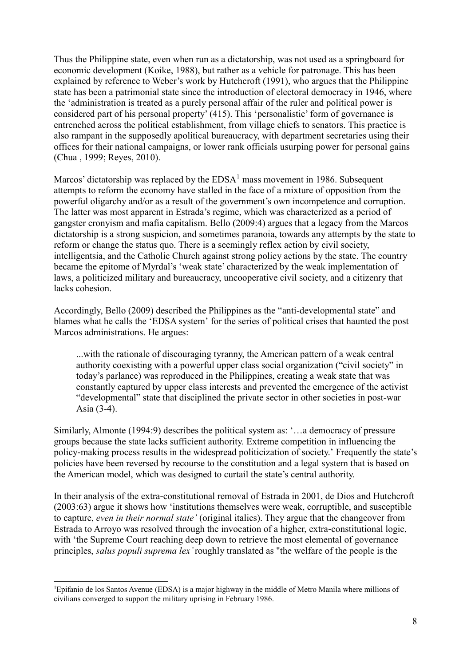Thus the Philippine state, even when run as a dictatorship, was not used as a springboard for economic development (Koike, 1988), but rather as a vehicle for patronage. This has been explained by reference to Weber's work by Hutchcroft (1991), who argues that the Philippine state has been a patrimonial state since the introduction of electoral democracy in 1946, where the 'administration is treated as a purely personal affair of the ruler and political power is considered part of his personal property' (415). This 'personalistic' form of governance is entrenched across the political establishment, from village chiefs to senators. This practice is also rampant in the supposedly apolitical bureaucracy, with department secretaries using their offices for their national campaigns, or lower rank officials usurping power for personal gains (Chua , 1999; Reyes, 2010).

Marcos' dictatorship was replaced by the  $EDSA<sup>1</sup>$  mass movement in 1986. Subsequent attempts to reform the economy have stalled in the face of a mixture of opposition from the powerful oligarchy and/or as a result of the government's own incompetence and corruption. The latter was most apparent in Estrada's regime, which was characterized as a period of gangster cronyism and mafia capitalism. Bello (2009:4) argues that a legacy from the Marcos dictatorship is a strong suspicion, and sometimes paranoia, towards any attempts by the state to reform or change the status quo. There is a seemingly reflex action by civil society, intelligentsia, and the Catholic Church against strong policy actions by the state. The country became the epitome of Myrdal's 'weak state' characterized by the weak implementation of laws, a politicized military and bureaucracy, uncooperative civil society, and a citizenry that lacks cohesion.

Accordingly, Bello (2009) described the Philippines as the "anti-developmental state" and blames what he calls the 'EDSA system' for the series of political crises that haunted the post Marcos administrations. He argues:

...with the rationale of discouraging tyranny, the American pattern of a weak central authority coexisting with a powerful upper class social organization ("civil society" in today's parlance) was reproduced in the Philippines, creating a weak state that was constantly captured by upper class interests and prevented the emergence of the activist "developmental" state that disciplined the private sector in other societies in post-war Asia (3-4).

Similarly, Almonte (1994:9) describes the political system as: '…a democracy of pressure groups because the state lacks sufficient authority. Extreme competition in influencing the policy-making process results in the widespread politicization of society.' Frequently the state's policies have been reversed by recourse to the constitution and a legal system that is based on the American model, which was designed to curtail the state's central authority.

In their analysis of the extra-constitutional removal of Estrada in 2001, de Dios and Hutchcroft (2003:63) argue it shows how 'institutions themselves were weak, corruptible, and susceptible to capture, *even in their normal state'* (original italics). They argue that the changeover from Estrada to Arroyo was resolved through the invocation of a higher, extra-constitutional logic, with 'the Supreme Court reaching deep down to retrieve the most elemental of governance principles, *salus populi suprema lex'* roughly translated as "the welfare of the people is the

l <sup>1</sup>Epifanio de los Santos Avenue (EDSA) is a major highway in the middle of Metro Manila where millions of civilians converged to support the military uprising in February 1986.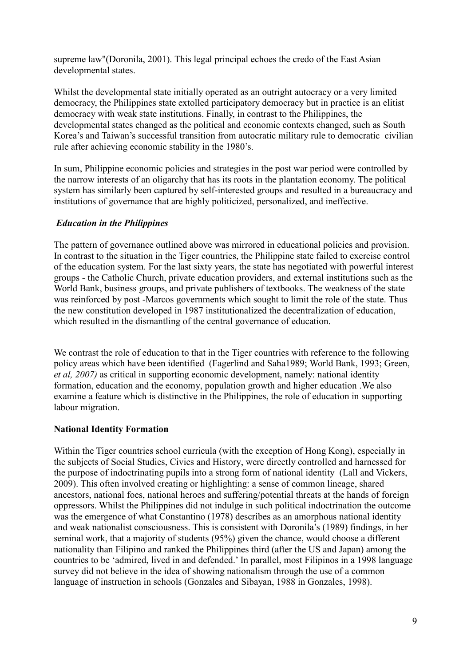supreme law"(Doronila, 2001). This legal principal echoes the credo of the East Asian developmental states.

Whilst the developmental state initially operated as an outright autocracy or a very limited democracy, the Philippines state extolled participatory democracy but in practice is an elitist democracy with weak state institutions. Finally, in contrast to the Philippines, the developmental states changed as the political and economic contexts changed, such as South Korea's and Taiwan's successful transition from autocratic military rule to democratic civilian rule after achieving economic stability in the 1980's.

In sum, Philippine economic policies and strategies in the post war period were controlled by the narrow interests of an oligarchy that has its roots in the plantation economy. The political system has similarly been captured by self-interested groups and resulted in a bureaucracy and institutions of governance that are highly politicized, personalized, and ineffective.

### *Education in the Philippines*

The pattern of governance outlined above was mirrored in educational policies and provision. In contrast to the situation in the Tiger countries, the Philippine state failed to exercise control of the education system. For the last sixty years, the state has negotiated with powerful interest groups - the Catholic Church, private education providers, and external institutions such as the World Bank, business groups, and private publishers of textbooks. The weakness of the state was reinforced by post -Marcos governments which sought to limit the role of the state. Thus the new constitution developed in 1987 institutionalized the decentralization of education, which resulted in the dismantling of the central governance of education.

We contrast the role of education to that in the Tiger countries with reference to the following policy areas which have been identified (Fagerlind and Saha1989; World Bank, 1993; Green, *et al, 2007)* as critical in supporting economic development, namely: national identity formation, education and the economy, population growth and higher education .We also examine a feature which is distinctive in the Philippines, the role of education in supporting labour migration.

### **National Identity Formation**

Within the Tiger countries school curricula (with the exception of Hong Kong), especially in the subjects of Social Studies, Civics and History, were directly controlled and harnessed for the purpose of indoctrinating pupils into a strong form of national identity (Lall and Vickers, 2009). This often involved creating or highlighting: a sense of common lineage, shared ancestors, national foes, national heroes and suffering/potential threats at the hands of foreign oppressors. Whilst the Philippines did not indulge in such political indoctrination the outcome was the emergence of what Constantino (1978) describes as an amorphous national identity and weak nationalist consciousness. This is consistent with Doronila's (1989) findings, in her seminal work, that a majority of students (95%) given the chance, would choose a different nationality than Filipino and ranked the Philippines third (after the US and Japan) among the countries to be 'admired, lived in and defended.' In parallel, most Filipinos in a 1998 language survey did not believe in the idea of showing nationalism through the use of a common language of instruction in schools (Gonzales and Sibayan, 1988 in Gonzales, 1998).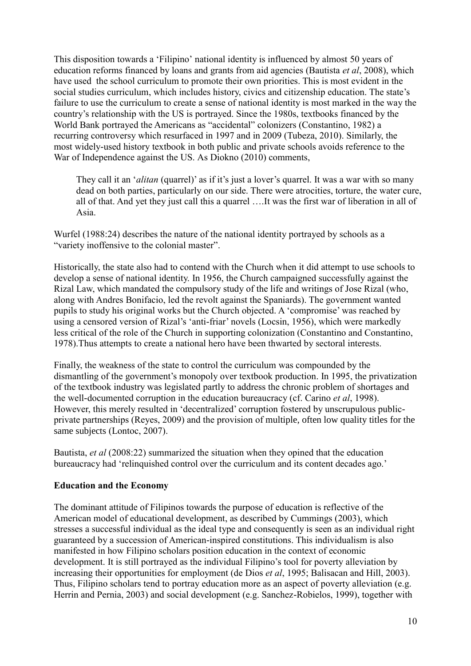This disposition towards a 'Filipino' national identity is influenced by almost 50 years of education reforms financed by loans and grants from aid agencies (Bautista *et al*, 2008), which have used the school curriculum to promote their own priorities. This is most evident in the social studies curriculum, which includes history, civics and citizenship education. The state's failure to use the curriculum to create a sense of national identity is most marked in the way the country's relationship with the US is portrayed. Since the 1980s, textbooks financed by the World Bank portrayed the Americans as "accidental" colonizers (Constantino, 1982) a recurring controversy which resurfaced in 1997 and in 2009 (Tubeza, 2010). Similarly, the most widely-used history textbook in both public and private schools avoids reference to the War of Independence against the US. As Diokno (2010) comments,

They call it an '*alitan* (quarrel)' as if it's just a lover's quarrel. It was a war with so many dead on both parties, particularly on our side. There were atrocities, torture, the water cure, all of that. And yet they just call this a quarrel ….It was the first war of liberation in all of Asia.

Wurfel (1988:24) describes the nature of the national identity portrayed by schools as a "variety inoffensive to the colonial master".

Historically, the state also had to contend with the Church when it did attempt to use schools to develop a sense of national identity. In 1956, the Church campaigned successfully against the Rizal Law, which mandated the compulsory study of the life and writings of Jose Rizal (who, along with Andres Bonifacio, led the revolt against the Spaniards). The government wanted pupils to study his original works but the Church objected. A 'compromise' was reached by using a censored version of Rizal's 'anti-friar' novels (Locsin, 1956), which were markedly less critical of the role of the Church in supporting colonization (Constantino and Constantino, 1978).Thus attempts to create a national hero have been thwarted by sectoral interests.

Finally, the weakness of the state to control the curriculum was compounded by the dismantling of the government's monopoly over textbook production. In 1995, the privatization of the textbook industry was legislated partly to address the chronic problem of shortages and the well-documented corruption in the education bureaucracy (cf. Carino *et al*, 1998). However, this merely resulted in 'decentralized' corruption fostered by unscrupulous publicprivate partnerships (Reyes, 2009) and the provision of multiple, often low quality titles for the same subjects (Lontoc, 2007).

Bautista, *et al* (2008:22) summarized the situation when they opined that the education bureaucracy had 'relinquished control over the curriculum and its content decades ago.'

### **Education and the Economy**

The dominant attitude of Filipinos towards the purpose of education is reflective of the American model of educational development, as described by Cummings (2003), which stresses a successful individual as the ideal type and consequently is seen as an individual right guaranteed by a succession of American-inspired constitutions. This individualism is also manifested in how Filipino scholars position education in the context of economic development. It is still portrayed as the individual Filipino's tool for poverty alleviation by increasing their opportunities for employment (de Dios *et al*, 1995; Balisacan and Hill, 2003). Thus, Filipino scholars tend to portray education more as an aspect of poverty alleviation (e.g. Herrin and Pernia, 2003) and social development (e.g. Sanchez-Robielos, 1999), together with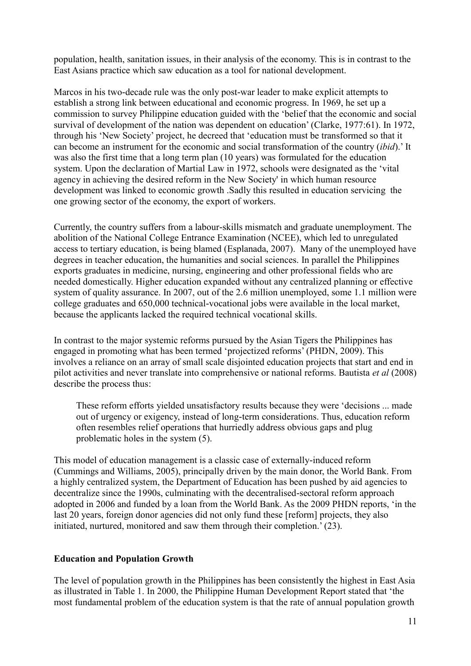population, health, sanitation issues, in their analysis of the economy. This is in contrast to the East Asians practice which saw education as a tool for national development.

Marcos in his two-decade rule was the only post-war leader to make explicit attempts to establish a strong link between educational and economic progress. In 1969, he set up a commission to survey Philippine education guided with the 'belief that the economic and social survival of development of the nation was dependent on education' (Clarke, 1977:61). In 1972, through his 'New Society' project, he decreed that 'education must be transformed so that it can become an instrument for the economic and social transformation of the country (*ibid*).' It was also the first time that a long term plan (10 years) was formulated for the education system. Upon the declaration of Martial Law in 1972, schools were designated as the 'vital agency in achieving the desired reform in the New Society' in which human resource development was linked to economic growth .Sadly this resulted in education servicing the one growing sector of the economy, the export of workers.

Currently, the country suffers from a labour-skills mismatch and graduate unemployment. The abolition of the National College Entrance Examination (NCEE), which led to unregulated access to tertiary education, is being blamed (Esplanada, 2007). Many of the unemployed have degrees in teacher education, the humanities and social sciences. In parallel the Philippines exports graduates in medicine, nursing, engineering and other professional fields who are needed domestically. Higher education expanded without any centralized planning or effective system of quality assurance. In 2007, out of the 2.6 million unemployed, some 1.1 million were college graduates and 650,000 technical-vocational jobs were available in the local market, because the applicants lacked the required technical vocational skills.

In contrast to the major systemic reforms pursued by the Asian Tigers the Philippines has engaged in promoting what has been termed 'projectized reforms' (PHDN, 2009). This involves a reliance on an array of small scale disjointed education projects that start and end in pilot activities and never translate into comprehensive or national reforms. Bautista *et al* (2008) describe the process thus:

These reform efforts yielded unsatisfactory results because they were 'decisions ... made out of urgency or exigency, instead of long-term considerations. Thus, education reform often resembles relief operations that hurriedly address obvious gaps and plug problematic holes in the system (5).

This model of education management is a classic case of externally-induced reform (Cummings and Williams, 2005), principally driven by the main donor, the World Bank. From a highly centralized system, the Department of Education has been pushed by aid agencies to decentralize since the 1990s, culminating with the decentralised-sectoral reform approach adopted in 2006 and funded by a loan from the World Bank. As the 2009 PHDN reports, 'in the last 20 years, foreign donor agencies did not only fund these [reform] projects, they also initiated, nurtured, monitored and saw them through their completion.' (23).

### **Education and Population Growth**

The level of population growth in the Philippines has been consistently the highest in East Asia as illustrated in Table 1. In 2000, the Philippine Human Development Report stated that 'the most fundamental problem of the education system is that the rate of annual population growth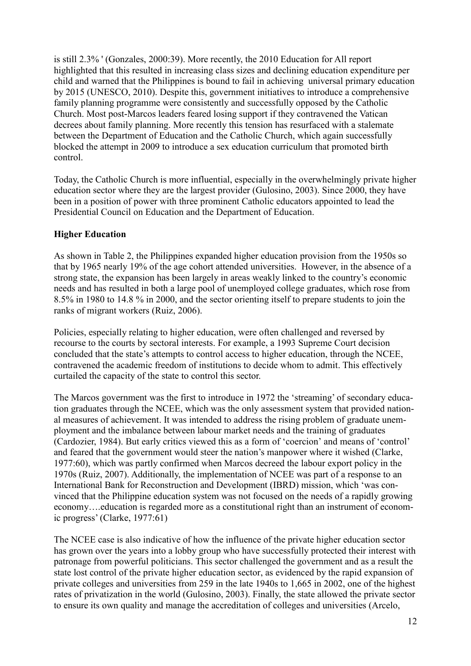is still 2.3% ' (Gonzales, 2000:39). More recently, the 2010 Education for All report highlighted that this resulted in increasing class sizes and declining education expenditure per child and warned that the Philippines is bound to fail in achieving universal primary education by 2015 (UNESCO, 2010). Despite this, government initiatives to introduce a comprehensive family planning programme were consistently and successfully opposed by the Catholic Church. Most post-Marcos leaders feared losing support if they contravened the Vatican decrees about family planning. More recently this tension has resurfaced with a stalemate between the Department of Education and the Catholic Church, which again successfully blocked the attempt in 2009 to introduce a sex education curriculum that promoted birth control.

Today, the Catholic Church is more influential, especially in the overwhelmingly private higher education sector where they are the largest provider (Gulosino, 2003). Since 2000, they have been in a position of power with three prominent Catholic educators appointed to lead the Presidential Council on Education and the Department of Education.

## **Higher Education**

As shown in Table 2, the Philippines expanded higher education provision from the 1950s so that by 1965 nearly 19% of the age cohort attended universities. However, in the absence of a strong state, the expansion has been largely in areas weakly linked to the country's economic needs and has resulted in both a large pool of unemployed college graduates, which rose from 8.5% in 1980 to 14.8 % in 2000, and the sector orienting itself to prepare students to join the ranks of migrant workers (Ruiz, 2006).

Policies, especially relating to higher education, were often challenged and reversed by recourse to the courts by sectoral interests. For example, a 1993 Supreme Court decision concluded that the state's attempts to control access to higher education, through the NCEE, contravened the academic freedom of institutions to decide whom to admit. This effectively curtailed the capacity of the state to control this sector.

The Marcos government was the first to introduce in 1972 the 'streaming' of secondary education graduates through the NCEE, which was the only assessment system that provided national measures of achievement. It was intended to address the rising problem of graduate unemployment and the imbalance between labour market needs and the training of graduates (Cardozier, 1984). But early critics viewed this as a form of 'coercion' and means of 'control' and feared that the government would steer the nation's manpower where it wished (Clarke, 1977:60), which was partly confirmed when Marcos decreed the labour export policy in the 1970s (Ruiz, 2007). Additionally, the implementation of NCEE was part of a response to an International Bank for Reconstruction and Development (IBRD) mission, which 'was convinced that the Philippine education system was not focused on the needs of a rapidly growing economy….education is regarded more as a constitutional right than an instrument of economic progress' (Clarke, 1977:61)

The NCEE case is also indicative of how the influence of the private higher education sector has grown over the years into a lobby group who have successfully protected their interest with patronage from powerful politicians. This sector challenged the government and as a result the state lost control of the private higher education sector, as evidenced by the rapid expansion of private colleges and universities from 259 in the late 1940s to 1,665 in 2002, one of the highest rates of privatization in the world (Gulosino, 2003). Finally, the state allowed the private sector to ensure its own quality and manage the accreditation of colleges and universities (Arcelo,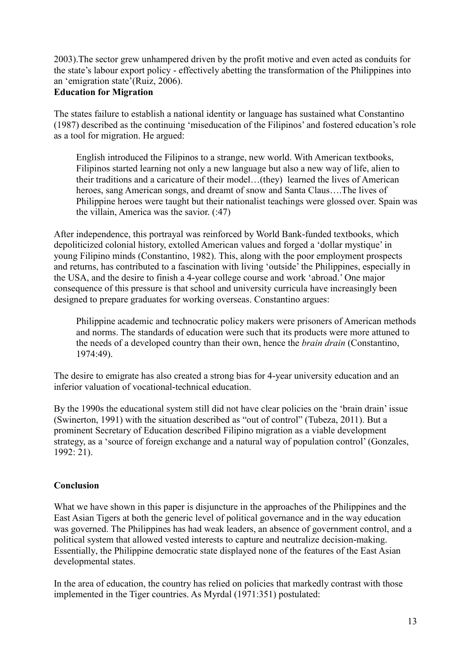2003).The sector grew unhampered driven by the profit motive and even acted as conduits for the state's labour export policy - effectively abetting the transformation of the Philippines into an 'emigration state'(Ruiz, 2006).

## **Education for Migration**

The states failure to establish a national identity or language has sustained what Constantino (1987) described as the continuing 'miseducation of the Filipinos' and fostered education's role as a tool for migration. He argued:

English introduced the Filipinos to a strange, new world. With American textbooks, Filipinos started learning not only a new language but also a new way of life, alien to their traditions and a caricature of their model…(they) learned the lives of American heroes, sang American songs, and dreamt of snow and Santa Claus….The lives of Philippine heroes were taught but their nationalist teachings were glossed over. Spain was the villain, America was the savior. (:47)

After independence, this portrayal was reinforced by World Bank-funded textbooks, which depoliticized colonial history, extolled American values and forged a 'dollar mystique' in young Filipino minds (Constantino, 1982). This, along with the poor employment prospects and returns, has contributed to a fascination with living 'outside' the Philippines, especially in the USA, and the desire to finish a 4-year college course and work 'abroad.' One major consequence of this pressure is that school and university curricula have increasingly been designed to prepare graduates for working overseas. Constantino argues:

Philippine academic and technocratic policy makers were prisoners of American methods and norms. The standards of education were such that its products were more attuned to the needs of a developed country than their own, hence the *brain drain* (Constantino, 1974:49).

The desire to emigrate has also created a strong bias for 4-year university education and an inferior valuation of vocational-technical education.

By the 1990s the educational system still did not have clear policies on the 'brain drain' issue (Swinerton, 1991) with the situation described as "out of control" (Tubeza, 2011). But a prominent Secretary of Education described Filipino migration as a viable development strategy, as a 'source of foreign exchange and a natural way of population control' (Gonzales, 1992: 21).

# **Conclusion**

What we have shown in this paper is disjuncture in the approaches of the Philippines and the East Asian Tigers at both the generic level of political governance and in the way education was governed. The Philippines has had weak leaders, an absence of government control, and a political system that allowed vested interests to capture and neutralize decision-making. Essentially, the Philippine democratic state displayed none of the features of the East Asian developmental states.

In the area of education, the country has relied on policies that markedly contrast with those implemented in the Tiger countries. As Myrdal (1971:351) postulated: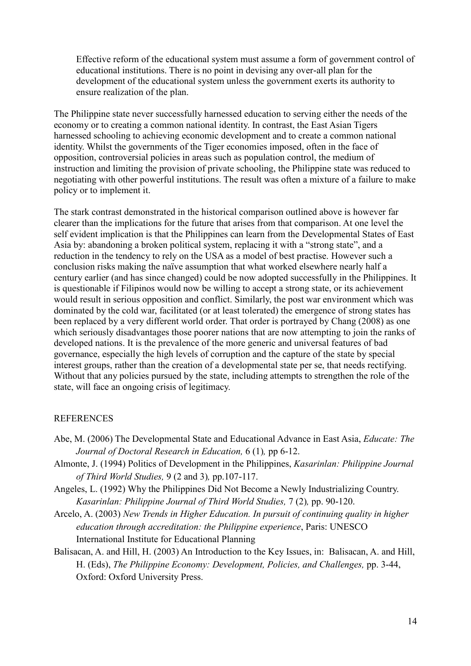Effective reform of the educational system must assume a form of government control of educational institutions. There is no point in devising any over-all plan for the development of the educational system unless the government exerts its authority to ensure realization of the plan.

The Philippine state never successfully harnessed education to serving either the needs of the economy or to creating a common national identity. In contrast, the East Asian Tigers harnessed schooling to achieving economic development and to create a common national identity. Whilst the governments of the Tiger economies imposed, often in the face of opposition, controversial policies in areas such as population control, the medium of instruction and limiting the provision of private schooling, the Philippine state was reduced to negotiating with other powerful institutions. The result was often a mixture of a failure to make policy or to implement it.

The stark contrast demonstrated in the historical comparison outlined above is however far clearer than the implications for the future that arises from that comparison. At one level the self evident implication is that the Philippines can learn from the Developmental States of East Asia by: abandoning a broken political system, replacing it with a "strong state", and a reduction in the tendency to rely on the USA as a model of best practise. However such a conclusion risks making the naïve assumption that what worked elsewhere nearly half a century earlier (and has since changed) could be now adopted successfully in the Philippines. It is questionable if Filipinos would now be willing to accept a strong state, or its achievement would result in serious opposition and conflict. Similarly, the post war environment which was dominated by the cold war, facilitated (or at least tolerated) the emergence of strong states has been replaced by a very different world order. That order is portrayed by Chang (2008) as one which seriously disadvantages those poorer nations that are now attempting to join the ranks of developed nations. It is the prevalence of the more generic and universal features of bad governance, especially the high levels of corruption and the capture of the state by special interest groups, rather than the creation of a developmental state per se, that needs rectifying. Without that any policies pursued by the state, including attempts to strengthen the role of the state, will face an ongoing crisis of legitimacy.

#### REFERENCES

- Abe, M. (2006) The Developmental State and Educational Advance in East Asia, *Educate: The Journal of Doctoral Research in Education,* 6 (1)*,* pp 6-12.
- Almonte, J. (1994) Politics of Development in the Philippines, *Kasarinlan: Philippine Journal of Third World Studies,* 9 (2 and 3)*,* pp.107-117.
- Angeles, L. (1992) Why the Philippines Did Not Become a Newly Industrializing Country. *Kasarinlan: Philippine Journal of Third World Studies,* 7 (2)*,* pp. 90-120.
- Arcelo, A. (2003) *New Trends in Higher Education. In pursuit of continuing quality in higher education through accreditation: the Philippine experience*, Paris: UNESCO International Institute for Educational Planning
- Balisacan, A. and Hill, H. (2003) An Introduction to the Key Issues, in: Balisacan, A. and Hill, H. (Eds), *The Philippine Economy: Development, Policies, and Challenges,* pp. 3-44, Oxford: Oxford University Press.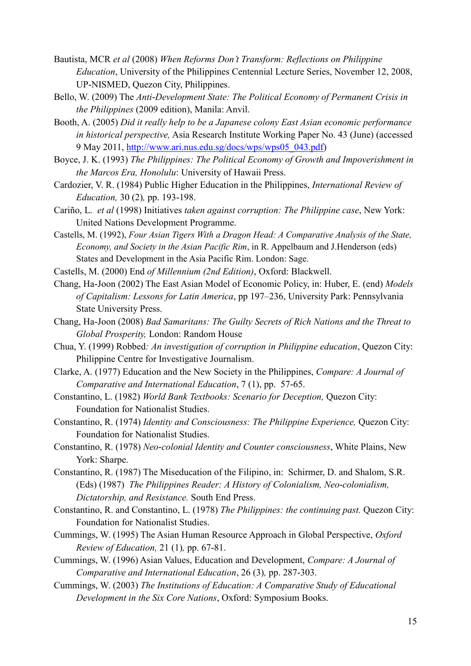- Bautista, MCR *et al* (2008) *When Reforms Don't Transform: Reflections on Philippine Education*, University of the Philippines Centennial Lecture Series, November 12, 2008, UP-NISMED, Quezon City, Philippines.
- Bello, W. (2009) The *Anti-Development State: The Political Economy of Permanent Crisis in the Philippines* (2009 edition), Manila: Anvil.
- Booth, A. (2005) *Did it really help to be a Japanese colony East Asian economic performance in historical perspective,* Asia Research Institute Working Paper No. 43 (June) (accessed 9 May 2011, [http://www.ari.nus.edu.sg/docs/wps/wps05\\_043.pdf\)](http://www.ari.nus.edu.sg/docs/wps/wps05_043.pdf)
- Boyce, J. K. (1993) *The Philippines: The Political Economy of Growth and Impoverishment in the Marcos Era, Honolulu*: University of Hawaii Press.
- Cardozier, V. R. (1984) Public Higher Education in the Philippines, *International Review of Education,* 30 (2)*,* pp. 193-198.
- Cariño, L. *et al* (1998) Initiatives *taken against corruption: The Philippine case*, New York: United Nations Development Programme.
- Castells, M. (1992), *Four Asian Tigers With a Dragon Head: A Comparative Analysis of the State, Economy, and Society in the Asian Pacific Rim*, in R. Appelbaum and J.Henderson (eds) States and Development in the Asia Pacific Rim. London: Sage.
- Castells, M. (2000) End *of Millennium (2nd Edition)*, Oxford: Blackwell.
- Chang, Ha-Joon (2002) The East Asian Model of Economic Policy, in: Huber, E. (end) *Models of Capitalism: Lessons for Latin America*, pp 197–236, University Park: Pennsylvania State University Press.
- Chang, Ha-Joon (2008) *Bad Samaritans: The Guilty Secrets of Rich Nations and the Threat to Global Prosperity,* London: Random House
- Chua, Y. (1999) Robbed*: An investigation of corruption in Philippine education*, Quezon City: Philippine Centre for Investigative Journalism.
- Clarke, A. (1977) Education and the New Society in the Philippines, *Compare: A Journal of Comparative and International Education*, 7 (1), pp. 57-65.
- Constantino, L. (1982) *World Bank Textbooks: Scenario for Deception,* Quezon City: Foundation for Nationalist Studies.
- Constantino, R. (1974) *Identity and Consciousness: The Philippine Experience,* Quezon City: Foundation for Nationalist Studies.
- Constantino, R. (1978) *Neo-colonial Identity and Counter consciousness*, White Plains, New York: Sharpe.
- Constantino, R. (1987) The Miseducation of the Filipino, in: Schirmer, D. and Shalom, S.R. (Eds) (1987) *The Philippines Reader: A History of Colonialism, Neo-colonialism, Dictatorship, and Resistance.* South End Press.
- Constantino, R. and Constantino, L. (1978) *The Philippines: the continuing past.* Quezon City: Foundation for Nationalist Studies.
- Cummings, W. (1995) The Asian Human Resource Approach in Global Perspective, *Oxford Review of Education,* 21 (1)*,* pp. 67-81.
- Cummings, W. (1996) Asian Values, Education and Development, *Compare: A Journal of Comparative and International Education*, 26 (3)*,* pp. 287-303.
- Cummings, W. (2003) *The Institutions of Education: A Comparative Study of Educational Development in the Six Core Nations*, Oxford: Symposium Books.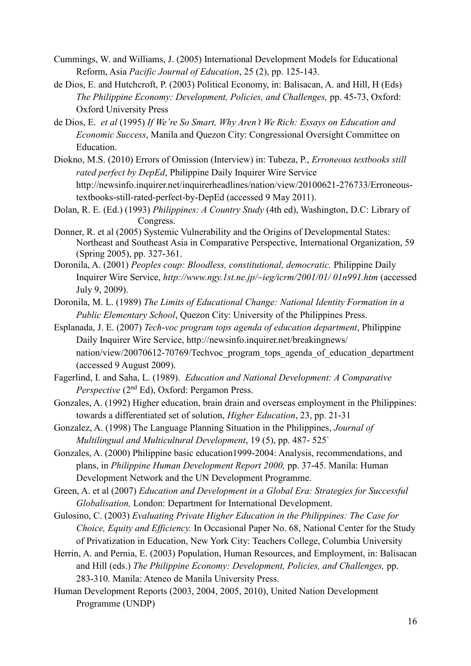- Cummings, W. and Williams, J. (2005) International Development Models for Educational Reform, Asia *Pacific Journal of Education*, 25 (2), pp. 125-143.
- de Dios, E. and Hutchcroft, P. (2003) Political Economy, in: Balisacan, A. and Hill, H (Eds) *The Philippine Economy: Development, Policies, and Challenges,* pp. 45-73, Oxford: Oxford University Press
- de Dios, E. *et al* (1995) *If We're So Smart, Why Aren't We Rich: Essays on Education and Economic Success*, Manila and Quezon City: Congressional Oversight Committee on Education.
- Diokno, M.S. (2010) Errors of Omission (Interview) in: Tubeza, P., *Erroneous textbooks still rated perfect by DepEd*, Philippine Daily Inquirer Wire Service [http://newsinfo.inquirer.net/inquirerheadlines/nation/view/20100621-276733/Erroneous](http://newsinfo.inquirer.net/inquirerheadlines/nation/view/20100621-276733/Erroneous-textbooks-still-rated-perfect-by-DepEd)[textbooks-still-rated-perfect-by-DepEd](http://newsinfo.inquirer.net/inquirerheadlines/nation/view/20100621-276733/Erroneous-textbooks-still-rated-perfect-by-DepEd) (accessed 9 May 2011).
- Dolan, R. E. (Ed.) (1993) *Philippines: A Country Study* (4th ed), Washington, D.C: Library of Congress.
- Donner, R. et al (2005) Systemic Vulnerability and the Origins of Developmental States: Northeast and Southeast Asia in Comparative Perspective, International Organization, 59 (Spring 2005), pp. 327-361.
- Doronila, A. (2001) *Peoples coup: Bloodless, constitutional, democratic.* Philippine Daily Inquirer Wire Service, *http://www.ngy.1st.ne.jp/~ieg/icrm/2001/01/ 01n991.htm* (accessed July 9, 2009).
- Doronila, M. L. (1989) *The Limits of Educational Change: National Identity Formation in a Public Elementary School*, Quezon City: University of the Philippines Press.
- Esplanada, J. E. (2007) *Tech-voc program tops agenda of education department*, Philippine Daily Inquirer Wire Service, http://newsinfo.inquirer.net/breakingnews/ nation/view/20070612-70769/Techvoc program tops agenda of education department (accessed 9 August 2009).
- Fagerlind, I. and Saha, L. (1989). *Education and National Development: A Comparative*  Perspective (2<sup>nd</sup> Ed), Oxford: Pergamon Press.
- Gonzales, A. (1992) Higher education, brain drain and overseas employment in the Philippines: towards a differentiated set of solution, *Higher Education*, 23, pp. 21-31
- Gonzalez, A. (1998) The Language Planning Situation in the Philippines, *Journal of Multilingual and Multicultural Development*, 19 (5), pp. 487- 525`
- Gonzales, A. (2000) Philippine basic education1999-2004: Analysis, recommendations, and plans, in *Philippine Human Development Report 2000,* pp. 37-45. Manila: Human Development Network and the UN Development Programme.
- Green, A. et al (2007) *Education and Development in a Global Era: Strategies for Successful Globalisation,* London: Department for International Development.
- Gulosino, C. (2003) *Evaluating Private Higher Education in the Philippines: The Case for Choice, Equity and Efficiency.* In Occasional Paper No. 68, National Center for the Study of Privatization in Education, New York City: Teachers College, Columbia University
- Herrin, A. and Pernia, E. (2003) Population, Human Resources, and Employment, in: Balisacan and Hill (eds.) *The Philippine Economy: Development, Policies, and Challenges,* pp. 283-310. Manila: Ateneo de Manila University Press.
- Human Development Reports (2003, 2004, 2005, 2010), United Nation Development Programme (UNDP)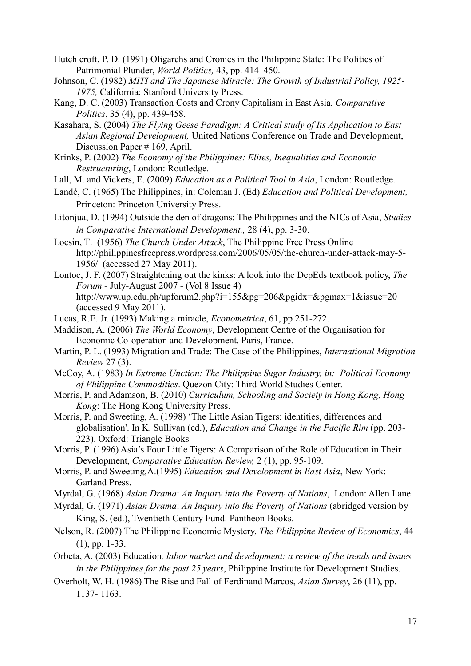- Hutch croft, P. D. (1991) Oligarchs and Cronies in the Philippine State: The Politics of Patrimonial Plunder, *World Politics,* 43, pp. 414–450.
- Johnson, C. (1982) *MITI and The Japanese Miracle: The Growth of Industrial Policy, 1925- 1975,* California: Stanford University Press.
- Kang, D. C. (2003) Transaction Costs and Crony Capitalism in East Asia, *Comparative Politics*, 35 (4), pp. 439-458.
- Kasahara, S. (2004) *The Flying Geese Paradigm: A Critical study of Its Application to East Asian Regional Development,* United Nations Conference on Trade and Development, Discussion Paper # 169, April.
- Krinks, P. (2002) *The Economy of the Philippines: Elites, Inequalities and Economic Restructuring*, London: Routledge.
- Lall, M. and Vickers, E. (2009) *Education as a Political Tool in Asia*, London: Routledge.
- Landé, C. (1965) The Philippines, in: Coleman J. (Ed) *Education and Political Development,* Princeton: Princeton University Press.
- Litonjua, D. (1994) Outside the den of dragons: The Philippines and the NICs of Asia, *Studies in Comparative International Development.,* 28 (4), pp. 3-30.
- Locsin, T. (1956) *The Church Under Attack*, The Philippine Free Press Online [http://philippinesfreepress.wordpress.com/2006/05/05/the-church-under-attack-may-5-](http://philippinesfreepress.wordpress.com/2006/05/05/the-church-under-attack-may-5-1956/) [1956/](http://philippinesfreepress.wordpress.com/2006/05/05/the-church-under-attack-may-5-1956/) (accessed 27 May 2011).
- Lontoc, J. F. (2007) Straightening out the kinks: A look into the DepEds textbook policy, *The Forum -* July-August 2007 - (Vol 8 Issue 4) <http://www.up.edu.ph/upforum2.php?i=155&pg=206&pgidx=&pgmax=1&issue=20> (accessed 9 May 2011).
- Lucas, R.E. Jr. (1993) Making a miracle, *Econometrica*, 61, pp 251-272.
- Maddison, A. (2006) *The World Economy*, Development Centre of the Organisation for Economic Co-operation and Development. Paris, France.
- Martin, P. L. (1993) Migration and Trade: The Case of the Philippines, *International Migration Review* 27 (3).
- McCoy, A. (1983) *In Extreme Unction: The Philippine Sugar Industry, in: Political Economy of Philippine Commodities*. Quezon City: Third World Studies Center.
- Morris, P. and Adamson, B. (2010) *Curriculum, Schooling and Society in Hong Kong, Hong Kong*: The Hong Kong University Press.
- Morris, P. and Sweeting, A. (1998) 'The Little Asian Tigers: identities, differences and globalisation'. In K. Sullivan (ed.), *Education and Change in the Pacific Rim* (pp. 203- 223). Oxford: Triangle Books
- Morris, P. (1996) Asia's Four Little Tigers: A Comparison of the Role of Education in Their Development, *Comparative Education Review,* 2 (1), pp. 95-109.
- Morris, P. and Sweeting,A.(1995) *Education and Development in East Asia*, New York: Garland Press.
- Myrdal, G. (1968) *Asian Drama*: *An Inquiry into the Poverty of Nations*, London: Allen Lane.
- Myrdal, G. (1971) *Asian Drama*: *An Inquiry into the Poverty of Nations* (abridged version by King, S. (ed.), Twentieth Century Fund. Pantheon Books.
- Nelson, R. (2007) The Philippine Economic Mystery, *The Philippine Review of Economics*, 44 (1), pp. 1-33.
- Orbeta, A. (2003) Education*, labor market and development: a review of the trends and issues in the Philippines for the past 25 years*, Philippine Institute for Development Studies.
- Overholt, W. H. (1986) The Rise and Fall of Ferdinand Marcos, *Asian Survey*, 26 (11), pp. 1137- 1163.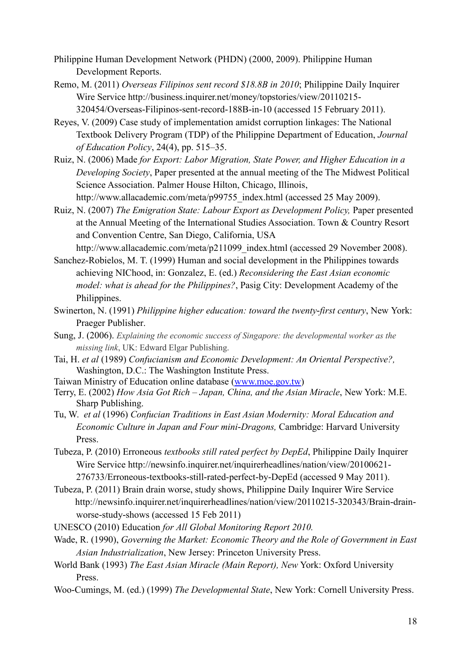- Philippine Human Development Network (PHDN) (2000, 2009). Philippine Human Development Reports.
- Remo, M. (2011) *Overseas Filipinos sent record \$18.8B in 2010*; Philippine Daily Inquirer Wire Service [http://business.inquirer.net/money/topstories/view/20110215-](http://business.inquirer.net/money/topstories/view/20110215-320454/Overseas-Filipinos-sent-record-188B-in-10) [320454/Overseas-Filipinos-sent-record-188B-in-10](http://business.inquirer.net/money/topstories/view/20110215-320454/Overseas-Filipinos-sent-record-188B-in-10) (accessed 15 February 2011).
- Reyes, V. (2009) Case study of implementation amidst corruption linkages: The National Textbook Delivery Program (TDP) of the Philippine Department of Education, *Journal of Education Policy*, 24(4), pp. 515–35.
- Ruiz, N. (2006) Made *for Export: Labor Migration, State Power, and Higher Education in a Developing Society*, Paper presented at the annual meeting of the The Midwest Political Science Association. Palmer House Hilton, Chicago, Illinois, http://www.allacademic.com/meta/p99755\_index.html (accessed 25 May 2009).

Ruiz, N. (2007) *The Emigration State: Labour Export as Development Policy,* Paper presented at the Annual Meeting of the International Studies Association. Town & Country Resort and Convention Centre, San Diego, California, USA

http://www.allacademic.com/meta/p211099\_index.html (accessed 29 November 2008).

- Sanchez-Robielos, M. T. (1999) Human and social development in the Philippines towards achieving NIChood, in: Gonzalez, E. (ed.) *Reconsidering the East Asian economic model: what is ahead for the Philippines?*, Pasig City: Development Academy of the Philippines.
- Swinerton, N. (1991) *Philippine higher education: toward the twenty-first century*, New York: Praeger Publisher.
- Sung, J. (2006). *Explaining the economic success of Singapore: the developmental worker as the missing link*, UK: Edward Elgar Publishing.
- Tai, H. *et al* (1989) *Confucianism and Economic Development: An Oriental Perspective?,*  Washington, D.C.: The Washington Institute Press.
- Taiwan Ministry of Education online database [\(www.moe.gov.tw\)](http://www.moe.gov.tw/)
- Terry, E. (2002) *How Asia Got Rich – Japan, China, and the Asian Miracle*, New York: M.E. Sharp Publishing.
- Tu, W. *et al* (1996) *Confucian Traditions in East Asian Modernity: Moral Education and Economic Culture in Japan and Four mini-Dragons,* Cambridge: Harvard University Press.
- Tubeza, P. (2010) Erroneous *textbooks still rated perfect by DepEd*, Philippine Daily Inquirer Wire Service [http://newsinfo.inquirer.net/inquirerheadlines/nation/view/20100621-](http://newsinfo.inquirer.net/inquirerheadlines/nation/view/20100621-276733/Erroneous-textbooks-still-rated-perfect-by-DepEd) [276733/Erroneous-textbooks-still-rated-perfect-by-DepEd](http://newsinfo.inquirer.net/inquirerheadlines/nation/view/20100621-276733/Erroneous-textbooks-still-rated-perfect-by-DepEd) (accessed 9 May 2011).
- Tubeza, P. (2011) Brain drain worse, study shows, Philippine Daily Inquirer Wire Service [http://newsinfo.inquirer.net/inquirerheadlines/nation/view/20110215-320343/Brain-drain](http://newsinfo.inquirer.net/inquirerheadlines/nation/view/20110215-320343/Brain-drain-worse-study-shows)[worse-study-shows](http://newsinfo.inquirer.net/inquirerheadlines/nation/view/20110215-320343/Brain-drain-worse-study-shows) (accessed 15 Feb 2011)
- UNESCO (2010) Education *for All Global Monitoring Report 2010.*
- Wade, R. (1990), *Governing the Market: Economic Theory and the Role of Government in East Asian Industrialization*, New Jersey: Princeton University Press.
- World Bank (1993) *The East Asian Miracle (Main Report), New* York: Oxford University Press.
- Woo-Cumings, M. (ed.) (1999) *The Developmental State*, New York: Cornell University Press.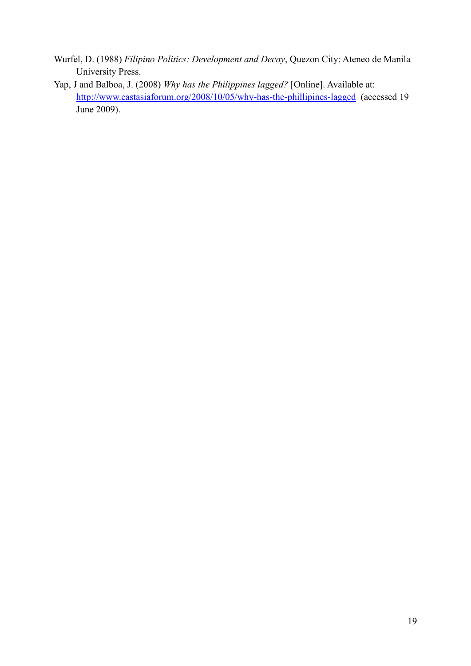- Wurfel, D. (1988) *Filipino Politics: Development and Decay*, Quezon City: Ateneo de Manila University Press.
- Yap, J and Balboa, J. (2008) *Why has the Philippines lagged?* [Online]. Available at: <http://www.eastasiaforum.org/2008/10/05/why-has-the-phillipines-lagged>(accessed 19 June 2009).